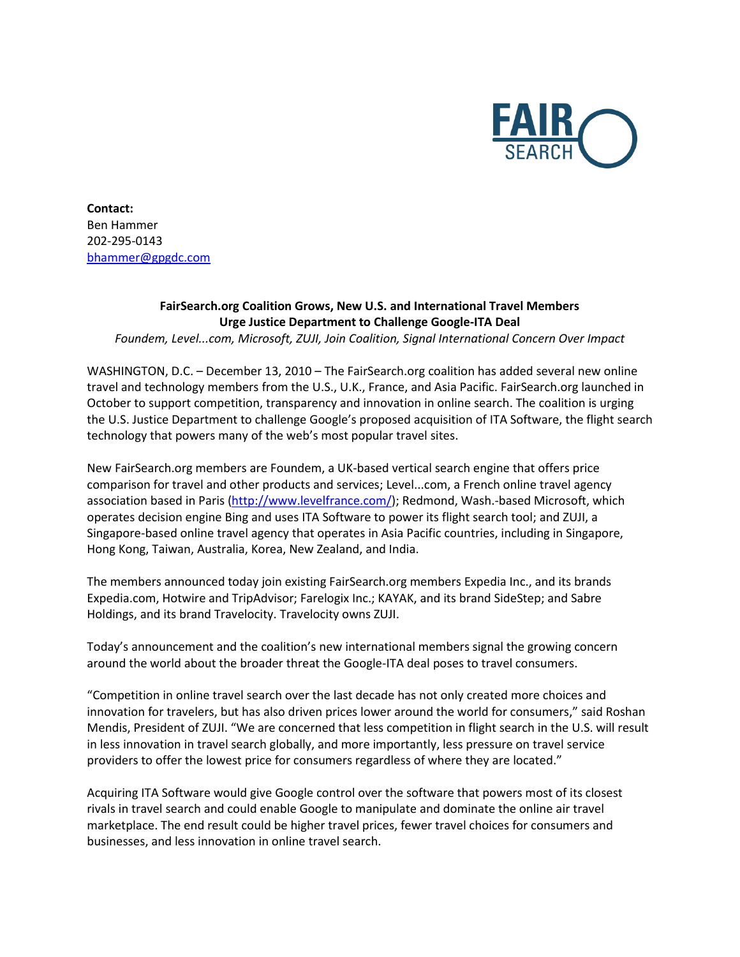

**Contact:** Ben Hammer 202‐295-0143 [bhammer@gpgdc.com](mailto:bhammer@gpgdc.com)

## **FairSearch.org Coalition Grows, New U.S. and International Travel Members Urge Justice Department to Challenge Google-ITA Deal**

*Foundem, Level...com, Microsoft, ZUJI, Join Coalition, Signal International Concern Over Impact*

WASHINGTON, D.C. - December 13, 2010 - The FairSearch.org coalition has added several new online travel and technology members from the U.S., U.K., France, and Asia Pacific. FairSearch.org launched in October to support competition, transparency and innovation in online search. The coalition is urging the U.S. Justice Department to challenge Google's proposed acquisition of ITA Software, the flight search technology that powers many of the web's most popular travel sites.

New FairSearch.org members are Foundem, a UK-based vertical search engine that offers price comparison for travel and other products and services; Level...com, a French online travel agency association based in Paris [\(http://www.levelfrance.com/\)](http://www.levelfrance.com/); Redmond, Wash.-based Microsoft, which operates decision engine Bing and uses ITA Software to power its flight search tool; and ZUJI, a Singapore-based online travel agency that operates in Asia Pacific countries, including in Singapore, Hong Kong, Taiwan, Australia, Korea, New Zealand, and India.

The members announced today join existing FairSearch.org members Expedia Inc., and its brands Expedia.com, Hotwire and TripAdvisor; Farelogix Inc.; KAYAK, and its brand SideStep; and Sabre Holdings, and its brand Travelocity. Travelocity owns ZUJI.

Today's announcement and the coalition's new international members signal the growing concern around the world about the broader threat the Google-ITA deal poses to travel consumers.

"Competition in online travel search over the last decade has not only created more choices and innovation for travelers, but has also driven prices lower around the world for consumers," said Roshan Mendis, President of ZUJI. "We are concerned that less competition in flight search in the U.S. will result in less innovation in travel search globally, and more importantly, less pressure on travel service providers to offer the lowest price for consumers regardless of where they are located."

Acquiring ITA Software would give Google control over the software that powers most of its closest rivals in travel search and could enable Google to manipulate and dominate the online air travel marketplace. The end result could be higher travel prices, fewer travel choices for consumers and businesses, and less innovation in online travel search.